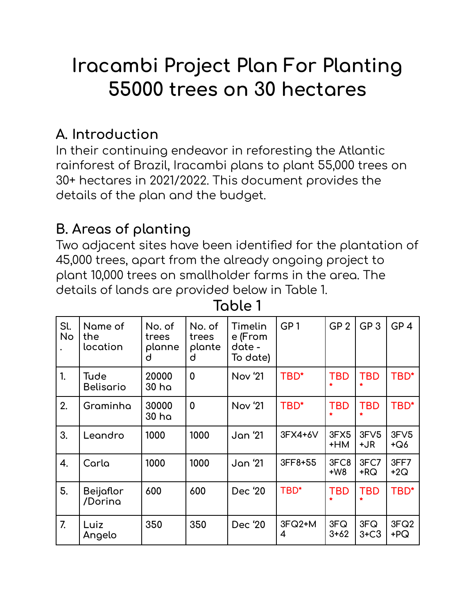# **Iracambi Project Plan For Planting 55000 trees on 30 hectares**

#### **A. Introduction**

In their continuing endeavor in reforesting the Atlantic rainforest of Brazil, Iracambi plans to plant 55,000 trees on 30+ hectares in 2021/2022. This document provides the details of the plan and the budget.

#### **B. Areas of planting**

Two adjacent sites have been identified for the plantation of 45,000 trees, apart from the already ongoing project to plant 10,000 trees on smallholder farms in the area. The details of lands are provided below in Table 1.

**Table 1**

| Sl.<br>No        | Name of<br>the<br>location | No. of<br>trees<br>planne<br>d | No. of<br>trees<br>plante<br>d | Timelin<br>e (From<br>date -<br>To date) | GP <sub>1</sub> | GP <sub>2</sub> | GP <sub>3</sub>          | GP <sub>4</sub> |
|------------------|----------------------------|--------------------------------|--------------------------------|------------------------------------------|-----------------|-----------------|--------------------------|-----------------|
| 1.               | Tude<br><b>Belisario</b>   | 20000<br>30 ha                 | $\mathbf 0$                    | Nov '21                                  | TBD*            | <b>TBD</b>      | <b>TBD</b>               | TBD*            |
| 2.               | Graminha                   | 30000<br>30 ha                 | $\mathbf 0$                    | <b>Nov '21</b>                           | TBD*            | <b>TBD</b>      | <b>TBD</b>               | TBD*            |
| 3.               | Leandro                    | 1000                           | 1000                           | Jan '21                                  | 3FX4+6V         | 3FX5<br>+HM     | 3F <sub>V</sub> 5<br>+JR | 3FV5<br>$+Q6$   |
| 4.               | Carla                      | 1000                           | 1000                           | <b>Jan</b> '21                           | 3FF8+55         | 3FC8<br>$+W8$   | 3FC7<br>$+$ RQ           | 3FF7<br>$+2Q$   |
| 5.               | Beijaflor<br>/Dorina       | 600                            | 600                            | Dec '20                                  | TBD*            | <b>TBD</b>      | <b>TBD</b>               | TBD*            |
| $\overline{7}$ . | Luiz<br>Angelo             | 350                            | 350                            | Dec '20                                  | $3FQ2+M$<br>4   | 3FQ<br>$3+62$   | 3FQ<br>$3+C3$            | 3FQ2<br>$+PQ$   |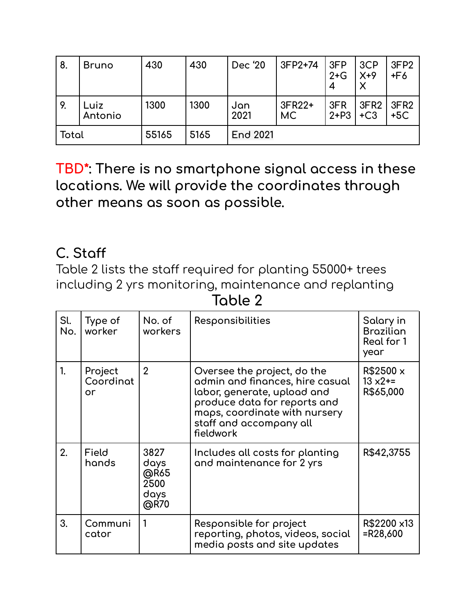| 8.    | <b>Bruno</b>    | 430   | 430  | Dec '20         | 3FP2+74       | 3FP<br>$2+G$<br>4 | 3CP<br>$X+9$  | 3FP <sub>2</sub><br>$+F6$ |
|-------|-----------------|-------|------|-----------------|---------------|-------------------|---------------|---------------------------|
| 9.    | Luiz<br>Antonio | 1300  | 1300 | Jan<br>2021     | 3FR22+<br>MC. | 3FR<br>$2 + P3$   | 3FR2<br>$+C3$ | 3FR <sub>2</sub><br>$+5C$ |
| Total |                 | 55165 | 5165 | <b>End 2021</b> |               |                   |               |                           |

**TBD\*: There is no smartphone signal access in these locations. We will provide the coordinates through other means as soon as possible.**

#### **C. Staff**

Table 2 lists the staff required for planting 55000+ trees including 2 yrs monitoring, maintenance and replanting

**Table 2**

| Sl.<br>No. | Type of<br>worker          | No. of<br>workers                            | Responsibilities                                                                                                                                                                                       | Salary in<br><b>Brazilian</b><br>Real for 1<br>year |
|------------|----------------------------|----------------------------------------------|--------------------------------------------------------------------------------------------------------------------------------------------------------------------------------------------------------|-----------------------------------------------------|
| 1.         | Project<br>Coordinat<br>or | $\overline{2}$                               | Oversee the project, do the<br>admin and finances, hire casual<br>labor, generate, upload and<br>produce data for reports and<br>maps, coordinate with nursery<br>staff and accompany all<br>fieldwork | R\$2500 x<br>$13 \times 2 ==$<br>R\$65,000          |
| 2.         | Field<br>hands             | 3827<br>days<br>@R65<br>2500<br>days<br>@R70 | Includes all costs for planting<br>and maintenance for 2 yrs                                                                                                                                           | R\$42,3755                                          |
| 3.         | Communi<br>cator           |                                              | Responsible for project<br>reporting, photos, videos, social<br>media posts and site updates                                                                                                           | R\$2200 x13<br>$=R28,600$                           |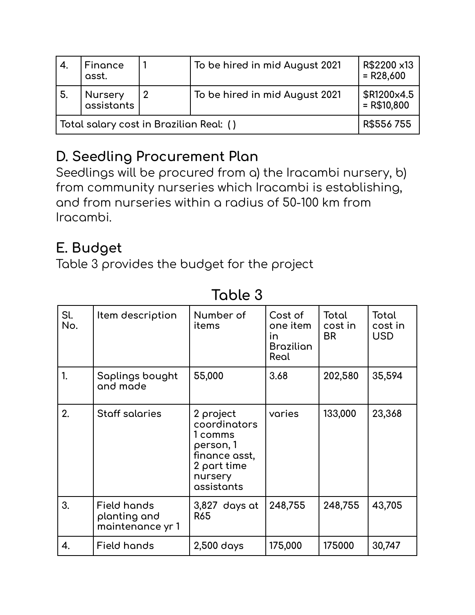| $\mathcal{A}$ .                         | Finance<br>asst.      | To be hired in mid August 2021 | R\$2200 x13<br>$= R28,600$  |
|-----------------------------------------|-----------------------|--------------------------------|-----------------------------|
| -5.                                     | Nursery<br>assistants | To be hired in mid August 2021 | \$R1200x4.5<br>$= R$10,800$ |
| Total salary cost in Brazilian Real: () | R\$556755             |                                |                             |

## **D. Seedling Procurement Plan**

Seedlings will be procured from a) the Iracambi nursery, b) from community nurseries which Iracambi is establishing, and from nurseries within a radius of 50-100 km from Iracambi.

## **E. Budget**

Table 3 provides the budget for the project

| Sl.<br>No. | Item description                                       | Number of<br>items                                                                                         | Cost of<br>one item<br>in<br><b>Brazilian</b><br>Real | Total<br>cost in<br><b>BR</b> | Total<br>cost in<br><b>USD</b> |
|------------|--------------------------------------------------------|------------------------------------------------------------------------------------------------------------|-------------------------------------------------------|-------------------------------|--------------------------------|
| 1.         | Saplings bought<br>and made                            | 55,000                                                                                                     | 3.68                                                  | 202,580                       | 35,594                         |
| 2.         | <b>Staff salaries</b>                                  | 2 project<br>coordinators<br>1 comms<br>person, 1<br>finance asst,<br>2 part time<br>nursery<br>assistants | varies                                                | 133,000                       | 23,368                         |
| 3.         | <b>Field hands</b><br>planting and<br>maintenance yr 1 | 3,827 days at<br><b>R65</b>                                                                                | 248,755                                               | 248,755                       | 43,705                         |
| 4.         | <b>Field hands</b>                                     | 2,500 days                                                                                                 | 175,000                                               | 175000                        | 30,747                         |

## **Table 3**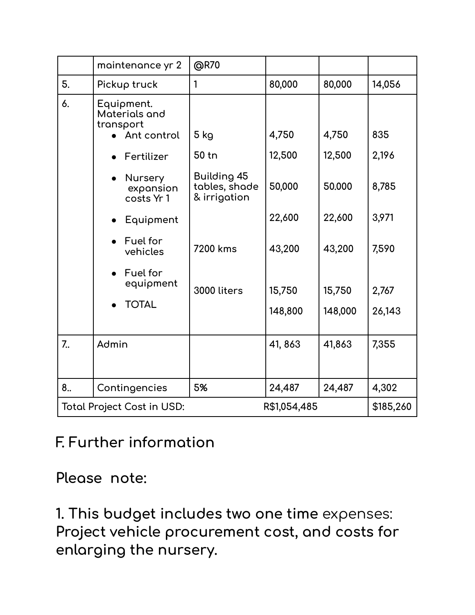|                | maintenance yr 2                          | @R70                                         |              |         |           |
|----------------|-------------------------------------------|----------------------------------------------|--------------|---------|-----------|
| 5.             | Pickup truck                              | $\mathbf{1}$                                 | 80,000       | 80,000  | 14,056    |
| 6.             | Equipment.<br>Materials and<br>transport  |                                              |              |         |           |
|                | Ant control                               | 5 kg                                         | 4,750        | 4,750   | 835       |
|                | Fertilizer                                | 50 tn                                        | 12,500       | 12,500  | 2,196     |
|                | <b>Nursery</b><br>expansion<br>costs Yr 1 | Building 45<br>tables, shade<br>& irrigation | 50,000       | 50.000  | 8,785     |
|                | Equipment                                 |                                              | 22,600       | 22,600  | 3,971     |
|                | Fuel for<br>vehicles                      | 7200 kms                                     | 43,200       | 43,200  | 7,590     |
|                | Fuel for<br>equipment                     | 3000 liters                                  | 15,750       | 15,750  | 2,767     |
|                | <b>TOTAL</b>                              |                                              | 148,800      | 148,000 | 26,143    |
| 7 <sub>1</sub> | Admin                                     |                                              | 41, 863      | 41,863  | 7,355     |
| 8              | Contingencies                             | 5%                                           | 24,487       | 24,487  | 4,302     |
|                | <b>Total Project Cost in USD:</b>         |                                              | R\$1,054,485 |         | \$185,260 |

#### **F. Further information**

**Please note:**

**1. This budget includes two one time** expenses: **Project vehicle procurement cost, and costs for enlarging the nursery.**